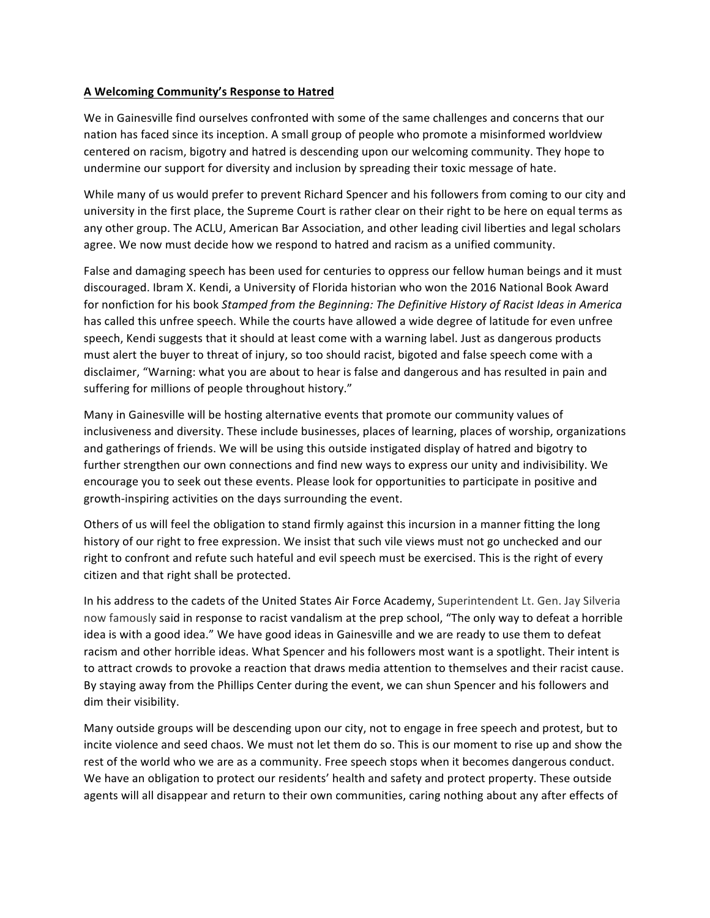## **A Welcoming Community's Response to Hatred**

We in Gainesville find ourselves confronted with some of the same challenges and concerns that our nation has faced since its inception. A small group of people who promote a misinformed worldview centered on racism, bigotry and hatred is descending upon our welcoming community. They hope to undermine our support for diversity and inclusion by spreading their toxic message of hate.

While many of us would prefer to prevent Richard Spencer and his followers from coming to our city and university in the first place, the Supreme Court is rather clear on their right to be here on equal terms as any other group. The ACLU, American Bar Association, and other leading civil liberties and legal scholars agree. We now must decide how we respond to hatred and racism as a unified community.

False and damaging speech has been used for centuries to oppress our fellow human beings and it must discouraged. Ibram X. Kendi, a University of Florida historian who won the 2016 National Book Award for nonfiction for his book *Stamped from the Beginning: The Definitive History of Racist Ideas in America* has called this unfree speech. While the courts have allowed a wide degree of latitude for even unfree speech, Kendi suggests that it should at least come with a warning label. Just as dangerous products must alert the buyer to threat of injury, so too should racist, bigoted and false speech come with a disclaimer, "Warning: what you are about to hear is false and dangerous and has resulted in pain and suffering for millions of people throughout history."

Many in Gainesville will be hosting alternative events that promote our community values of inclusiveness and diversity. These include businesses, places of learning, places of worship, organizations and gatherings of friends. We will be using this outside instigated display of hatred and bigotry to further strengthen our own connections and find new ways to express our unity and indivisibility. We encourage you to seek out these events. Please look for opportunities to participate in positive and growth-inspiring activities on the days surrounding the event.

Others of us will feel the obligation to stand firmly against this incursion in a manner fitting the long history of our right to free expression. We insist that such vile views must not go unchecked and our right to confront and refute such hateful and evil speech must be exercised. This is the right of every citizen and that right shall be protected.

In his address to the cadets of the United States Air Force Academy, Superintendent Lt. Gen. Jay Silveria now famously said in response to racist vandalism at the prep school, "The only way to defeat a horrible idea is with a good idea." We have good ideas in Gainesville and we are ready to use them to defeat racism and other horrible ideas. What Spencer and his followers most want is a spotlight. Their intent is to attract crowds to provoke a reaction that draws media attention to themselves and their racist cause. By staying away from the Phillips Center during the event, we can shun Spencer and his followers and dim their visibility.

Many outside groups will be descending upon our city, not to engage in free speech and protest, but to incite violence and seed chaos. We must not let them do so. This is our moment to rise up and show the rest of the world who we are as a community. Free speech stops when it becomes dangerous conduct. We have an obligation to protect our residents' health and safety and protect property. These outside agents will all disappear and return to their own communities, caring nothing about any after effects of